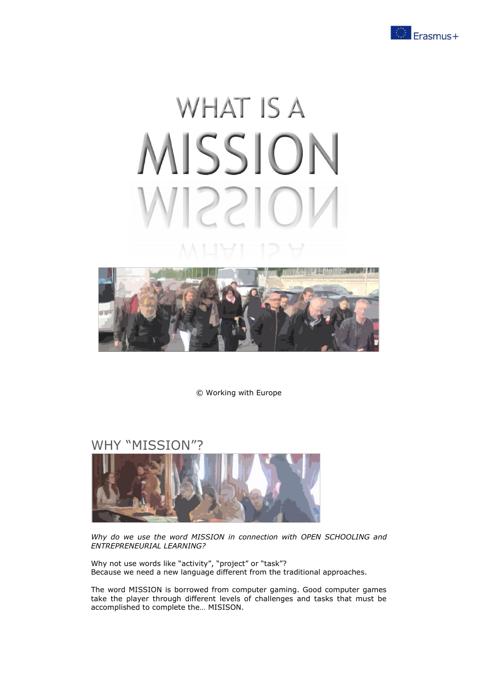

# **WHAT IS A** MISSION 22IC



© Working with Europe

## WHY "MISSION"?



*Why do we use the word MISSION in connection with OPEN SCHOOLING and ENTREPRENEURIAL LEARNING?*

Why not use words like "activity", "project" or "task"? Because we need a new language different from the traditional approaches.

The word MISSION is borrowed from computer gaming. Good computer games take the player through different levels of challenges and tasks that must be accomplished to complete the… MISISON.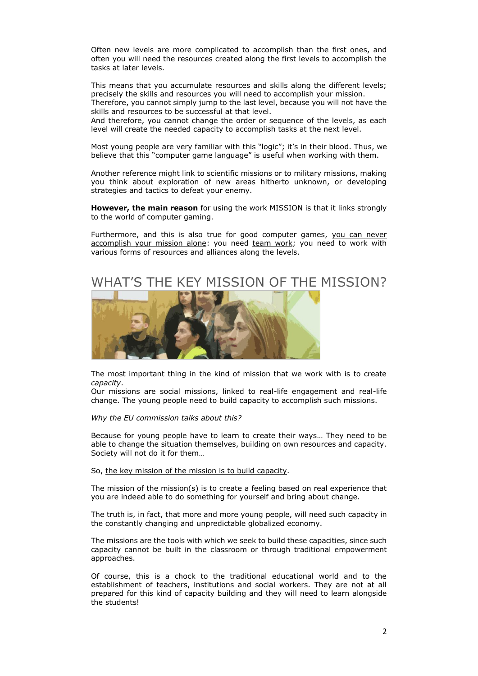Often new levels are more complicated to accomplish than the first ones, and often you will need the resources created along the first levels to accomplish the tasks at later levels.

This means that you accumulate resources and skills along the different levels; precisely the skills and resources you will need to accomplish your mission. Therefore, you cannot simply jump to the last level, because you will not have the skills and resources to be successful at that level.

And therefore, you cannot change the order or sequence of the levels, as each level will create the needed capacity to accomplish tasks at the next level.

Most young people are very familiar with this "logic"; it's in their blood. Thus, we believe that this "computer game language" is useful when working with them.

Another reference might link to scientific missions or to military missions, making you think about exploration of new areas hitherto unknown, or developing strategies and tactics to defeat your enemy.

**However, the main reason** for using the work MISSION is that it links strongly to the world of computer gaming.

Furthermore, and this is also true for good computer games, you can never accomplish your mission alone: you need team work; you need to work with various forms of resources and alliances along the levels.

## WHAT'S THE KEY MISSION OF THE MISSION?



The most important thing in the kind of mission that we work with is to create *capacity*.

Our missions are social missions, linked to real-life engagement and real-life change. The young people need to build capacity to accomplish such missions.

#### *Why the EU commission talks about this?*

Because for young people have to learn to create their ways… They need to be able to change the situation themselves, building on own resources and capacity. Society will not do it for them…

#### So, the key mission of the mission is to build capacity.

The mission of the mission(s) is to create a feeling based on real experience that you are indeed able to do something for yourself and bring about change.

The truth is, in fact, that more and more young people, will need such capacity in the constantly changing and unpredictable globalized economy.

The missions are the tools with which we seek to build these capacities, since such capacity cannot be built in the classroom or through traditional empowerment approaches.

Of course, this is a chock to the traditional educational world and to the establishment of teachers, institutions and social workers. They are not at all prepared for this kind of capacity building and they will need to learn alongside the students!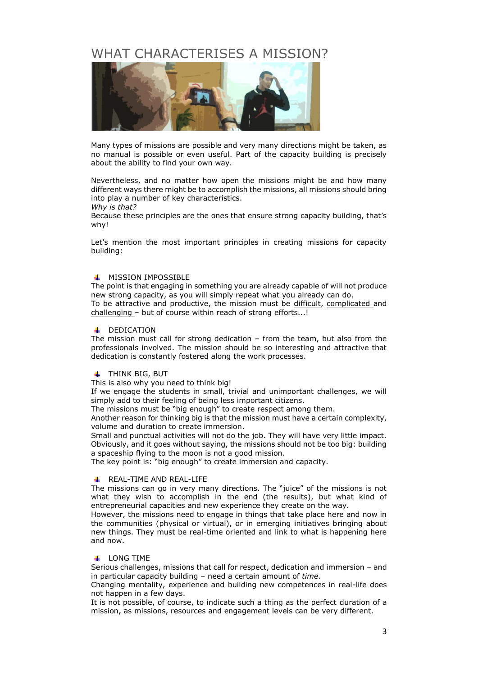# WHAT CHARACTERISES A MISSION?



Many types of missions are possible and very many directions might be taken, as no manual is possible or even useful. Part of the capacity building is precisely about the ability to find your own way.

Nevertheless, and no matter how open the missions might be and how many different ways there might be to accomplish the missions, all missions should bring into play a number of key characteristics.

*Why is that?*

Because these principles are the ones that ensure strong capacity building, that's why!

Let's mention the most important principles in creating missions for capacity building:

#### **+ MISSION IMPOSSIBLE**

The point is that engaging in something you are already capable of will not produce new strong capacity, as you will simply repeat what you already can do. To be attractive and productive, the mission must be difficult, complicated and challenging – but of course within reach of strong efforts...!

#### **+** DEDICATION

The mission must call for strong dedication – from the team, but also from the professionals involved. The mission should be so interesting and attractive that dedication is constantly fostered along the work processes.

#### **THINK BIG, BUT**

This is also why you need to think big!

If we engage the students in small, trivial and unimportant challenges, we will simply add to their feeling of being less important citizens.

The missions must be "big enough" to create respect among them.

Another reason for thinking big is that the mission must have a certain complexity, volume and duration to create immersion.

Small and punctual activities will not do the job. They will have very little impact. Obviously, and it goes without saying, the missions should not be too big: building a spaceship flying to the moon is not a good mission.

The key point is: "big enough" to create immersion and capacity.

#### **REAL-TIME AND REAL-LIFE**

The missions can go in very many directions. The "juice" of the missions is not what they wish to accomplish in the end (the results), but what kind of entrepreneurial capacities and new experience they create on the way.

However, the missions need to engage in things that take place here and now in the communities (physical or virtual), or in emerging initiatives bringing about new things. They must be real-time oriented and link to what is happening here and now.

#### **LONG TIME**

Serious challenges, missions that call for respect, dedication and immersion – and in particular capacity building – need a certain amount of *time*.

Changing mentality, experience and building new competences in real-life does not happen in a few days.

It is not possible, of course, to indicate such a thing as the perfect duration of a mission, as missions, resources and engagement levels can be very different.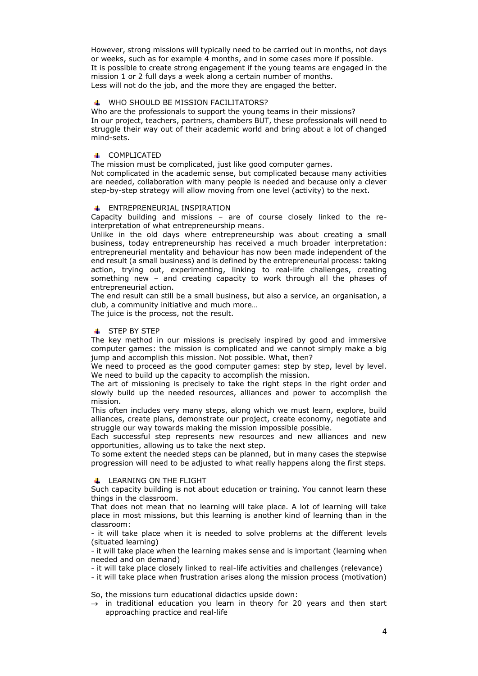However, strong missions will typically need to be carried out in months, not days or weeks, such as for example 4 months, and in some cases more if possible. It is possible to create strong engagement if the young teams are engaged in the mission 1 or 2 full days a week along a certain number of months. Less will not do the job, and the more they are engaged the better.

#### WHO SHOULD BE MISSION FACILITATORS?

Who are the professionals to support the young teams in their missions? In our project, teachers, partners, chambers BUT, these professionals will need to struggle their way out of their academic world and bring about a lot of changed mind-sets.

#### **+ COMPLICATED**

The mission must be complicated, just like good computer games.

Not complicated in the academic sense, but complicated because many activities are needed, collaboration with many people is needed and because only a clever step-by-step strategy will allow moving from one level (activity) to the next.

#### **ENTREPRENEURIAL INSPIRATION**

Capacity building and missions – are of course closely linked to the reinterpretation of what entrepreneurship means.

Unlike in the old days where entrepreneurship was about creating a small business, today entrepreneurship has received a much broader interpretation: entrepreneurial mentality and behaviour has now been made independent of the end result (a small business) and is defined by the entrepreneurial process: taking action, trying out, experimenting, linking to real-life challenges, creating something new – and creating capacity to work through all the phases of entrepreneurial action.

The end result can still be a small business, but also a service, an organisation, a club, a community initiative and much more…

The juice is the process, not the result.

#### **STEP BY STEP**

The key method in our missions is precisely inspired by good and immersive computer games: the mission is complicated and we cannot simply make a big jump and accomplish this mission. Not possible. What, then?

We need to proceed as the good computer games: step by step, level by level. We need to build up the capacity to accomplish the mission.

The art of missioning is precisely to take the right steps in the right order and slowly build up the needed resources, alliances and power to accomplish the mission.

This often includes very many steps, along which we must learn, explore, build alliances, create plans, demonstrate our project, create economy, negotiate and struggle our way towards making the mission impossible possible.

Each successful step represents new resources and new alliances and new opportunities, allowing us to take the next step.

To some extent the needed steps can be planned, but in many cases the stepwise progression will need to be adjusted to what really happens along the first steps.

#### $\perp$  I FARNING ON THE FLIGHT

Such capacity building is not about education or training. You cannot learn these things in the classroom.

That does not mean that no learning will take place. A lot of learning will take place in most missions, but this learning is another kind of learning than in the classroom:

- it will take place when it is needed to solve problems at the different levels (situated learning)

- it will take place when the learning makes sense and is important (learning when needed and on demand)

- it will take place closely linked to real-life activities and challenges (relevance)

- it will take place when frustration arises along the mission process (motivation)

So, the missions turn educational didactics upside down:

 $\rightarrow$  in traditional education you learn in theory for 20 years and then start approaching practice and real-life